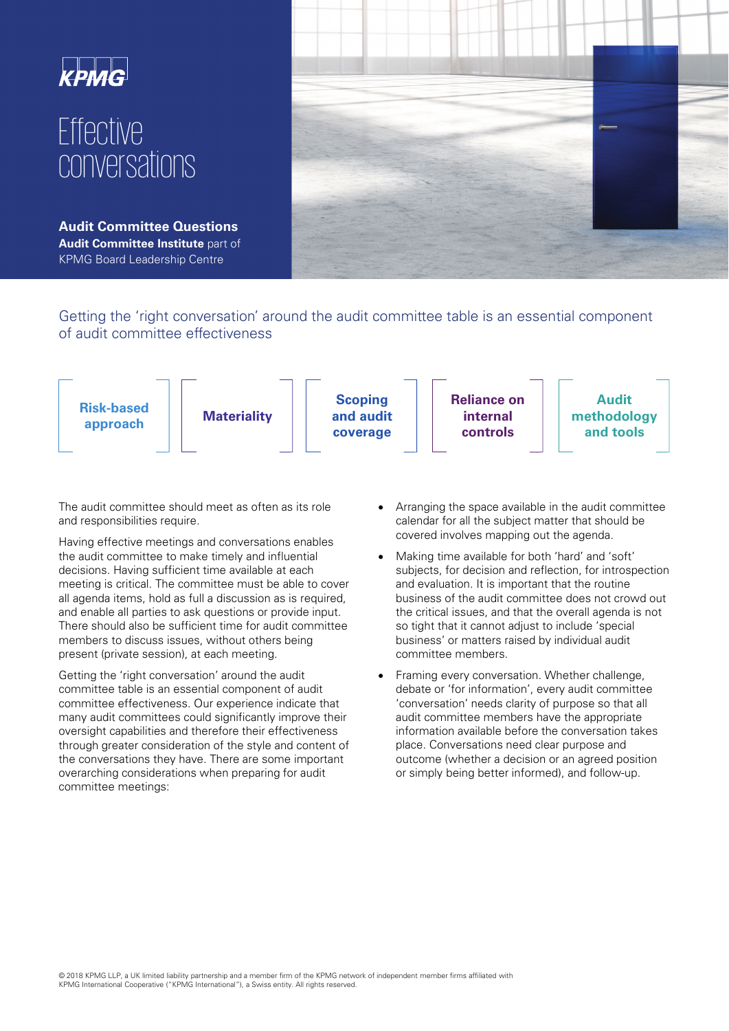

# Effective conversations

**Audit Committee Questions Audit Committee Institute** part of KPMG Board Leadership Centre



Getting the 'right conversation' around the audit committee table is an essential component of audit committee effectiveness



The audit committee should meet as often as its role and responsibilities require.

Having effective meetings and conversations enables the audit committee to make timely and influential decisions. Having sufficient time available at each meeting is critical. The committee must be able to cover all agenda items, hold as full a discussion as is required, and enable all parties to ask questions or provide input. There should also be sufficient time for audit committee members to discuss issues, without others being present (private session), at each meeting.

Getting the 'right conversation' around the audit committee table is an essential component of audit committee effectiveness. Our experience indicate that many audit committees could significantly improve their oversight capabilities and therefore their effectiveness through greater consideration of the style and content of the conversations they have. There are some important overarching considerations when preparing for audit committee meetings:

- Arranging the space available in the audit committee calendar for all the subject matter that should be covered involves mapping out the agenda.
- Making time available for both 'hard' and 'soft' subjects, for decision and reflection, for introspection and evaluation. It is important that the routine business of the audit committee does not crowd out the critical issues, and that the overall agenda is not so tight that it cannot adjust to include 'special business' or matters raised by individual audit committee members.
- Framing every conversation. Whether challenge, debate or 'for information', every audit committee 'conversation' needs clarity of purpose so that all audit committee members have the appropriate information available before the conversation takes place. Conversations need clear purpose and outcome (whether a decision or an agreed position or simply being better informed), and follow-up.